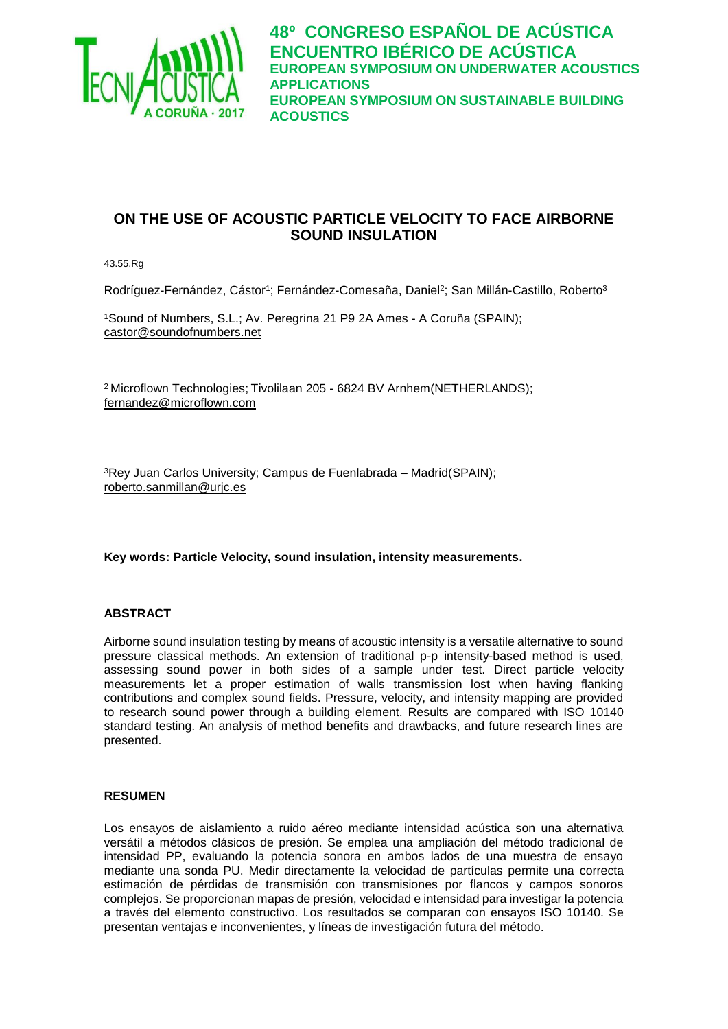

# **ON THE USE OF ACOUSTIC PARTICLE VELOCITY TO FACE AIRBORNE SOUND INSULATION**

43.55.Rg

Rodríguez-Fernández, Cástor<sup>1</sup>; Fernández-Comesaña, Daniel<sup>2</sup>; San Millán-Castillo, Roberto<sup>3</sup>

<sup>1</sup>Sound of Numbers, S.L.; Av. Peregrina 21 P9 2A Ames - A Coruña (SPAIN); [castor@soundofnumbers.net](mailto:castor@soundofnumbers.net)

<sup>2</sup>Microflown Technologies; Tivolilaan 205 - 6824 BV Arnhem(NETHERLANDS); [fernandez@microflown.com](mailto:fernandez@microflown.com)

<sup>3</sup>Rey Juan Carlos University; Campus de Fuenlabrada – Madrid(SPAIN); [roberto.sanmillan@urjc.es](mailto:roberto.sanmillan@urjc.es)

**Key words: Particle Velocity, sound insulation, intensity measurements.**

#### **ABSTRACT**

Airborne sound insulation testing by means of acoustic intensity is a versatile alternative to sound pressure classical methods. An extension of traditional p-p intensity-based method is used, assessing sound power in both sides of a sample under test. Direct particle velocity measurements let a proper estimation of walls transmission lost when having flanking contributions and complex sound fields. Pressure, velocity, and intensity mapping are provided to research sound power through a building element. Results are compared with ISO 10140 standard testing. An analysis of method benefits and drawbacks, and future research lines are presented.

#### **RESUMEN**

Los ensayos de aislamiento a ruido aéreo mediante intensidad acústica son una alternativa versátil a métodos clásicos de presión. Se emplea una ampliación del método tradicional de intensidad PP, evaluando la potencia sonora en ambos lados de una muestra de ensayo mediante una sonda PU. Medir directamente la velocidad de partículas permite una correcta estimación de pérdidas de transmisión con transmisiones por flancos y campos sonoros complejos. Se proporcionan mapas de presión, velocidad e intensidad para investigar la potencia a través del elemento constructivo. Los resultados se comparan con ensayos ISO 10140. Se presentan ventajas e inconvenientes, y líneas de investigación futura del método.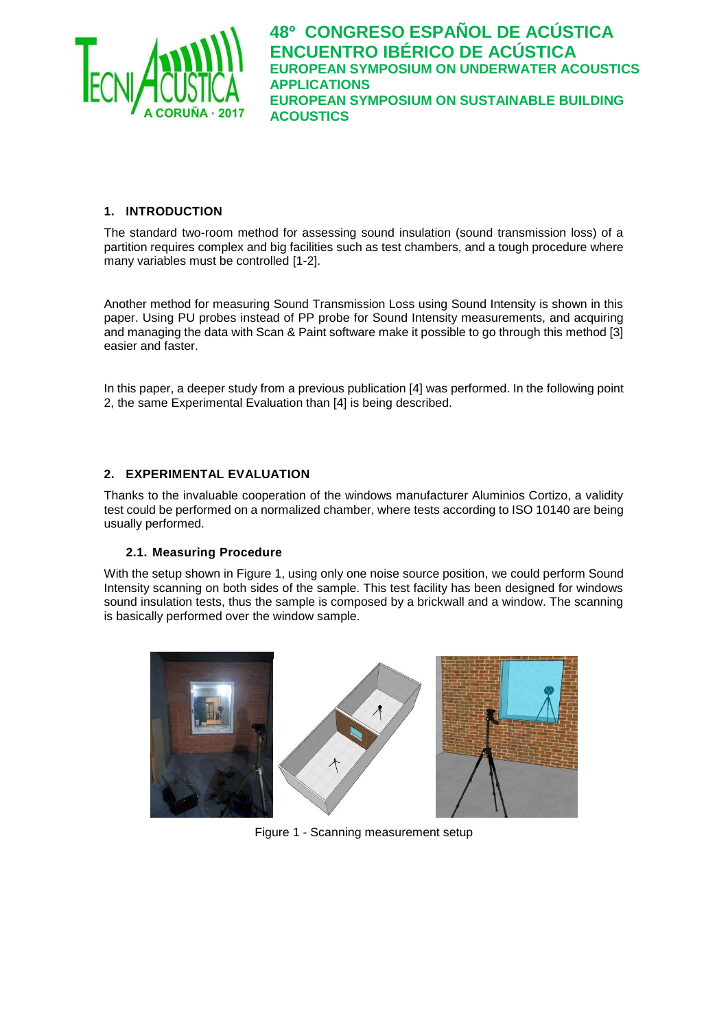

## **1. INTRODUCTION**

The standard two-room method for assessing sound insulation (sound transmission loss) of a partition requires complex and big facilities such as test chambers, and a tough procedure where many variables must be controlled [1-2].

Another method for measuring Sound Transmission Loss using Sound Intensity is shown in this paper. Using PU probes instead of PP probe for Sound Intensity measurements, and acquiring and managing the data with Scan & Paint software make it possible to go through this method [3] easier and faster.

In this paper, a deeper study from a previous publication [4] was performed. In the following point 2, the same Experimental Evaluation than [4] is being described.

#### **2. EXPERIMENTAL EVALUATION**

Thanks to the invaluable cooperation of the windows manufacturer Aluminios Cortizo, a validity test could be performed on a normalized chamber, where tests according to ISO 10140 are being usually performed.

#### **2.1. Measuring Procedure**

With the setup shown in [Figure 1,](#page-1-0) using only one noise source position, we could perform Sound Intensity scanning on both sides of the sample. This test facility has been designed for windows sound insulation tests, thus the sample is composed by a brickwall and a window. The scanning is basically performed over the window sample.

<span id="page-1-0"></span>

Figure 1 - Scanning measurement setup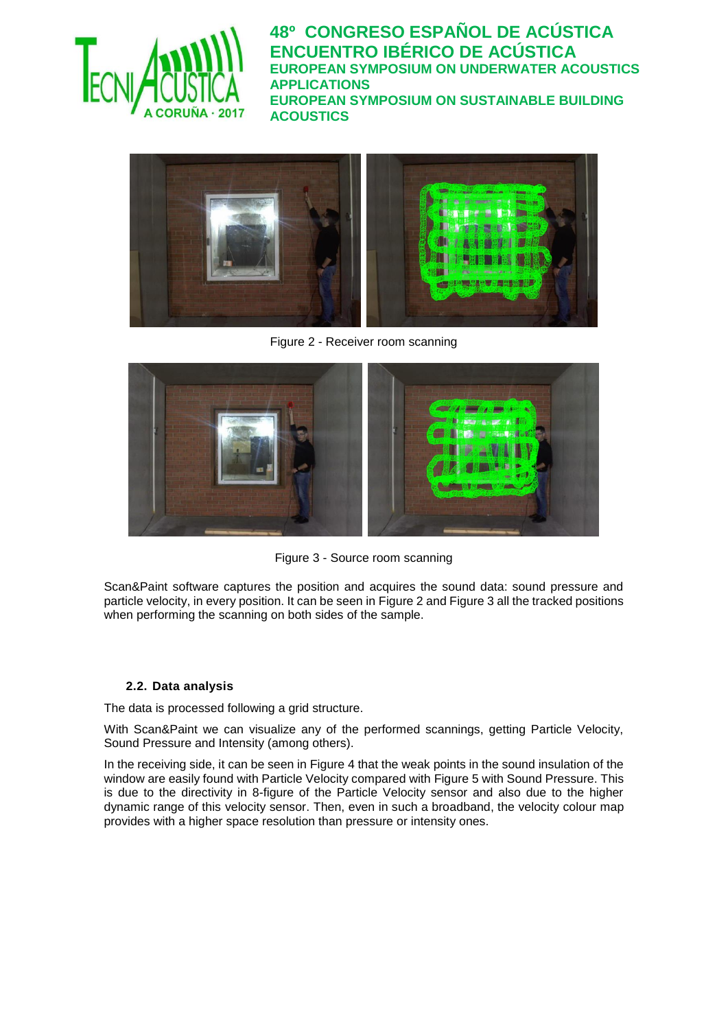



Figure 2 - Receiver room scanning

<span id="page-2-0"></span>

Figure 3 - Source room scanning

<span id="page-2-1"></span>Scan&Paint software captures the position and acquires the sound data: sound pressure and particle velocity, in every position. It can be seen in [Figure 2](#page-2-0) and [Figure 3](#page-2-1) all the tracked positions when performing the scanning on both sides of the sample.

### **2.2. Data analysis**

The data is processed following a grid structure.

With Scan&Paint we can visualize any of the performed scannings, getting Particle Velocity, Sound Pressure and Intensity (among others).

In the receiving side, it can be seen in [Figure 4](#page-3-0) that the weak points in the sound insulation of the window are easily found with Particle Velocity compared with [Figure 5](#page-3-1) with Sound Pressure. This is due to the directivity in 8-figure of the Particle Velocity sensor and also due to the higher dynamic range of this velocity sensor. Then, even in such a broadband, the velocity colour map provides with a higher space resolution than pressure or intensity ones.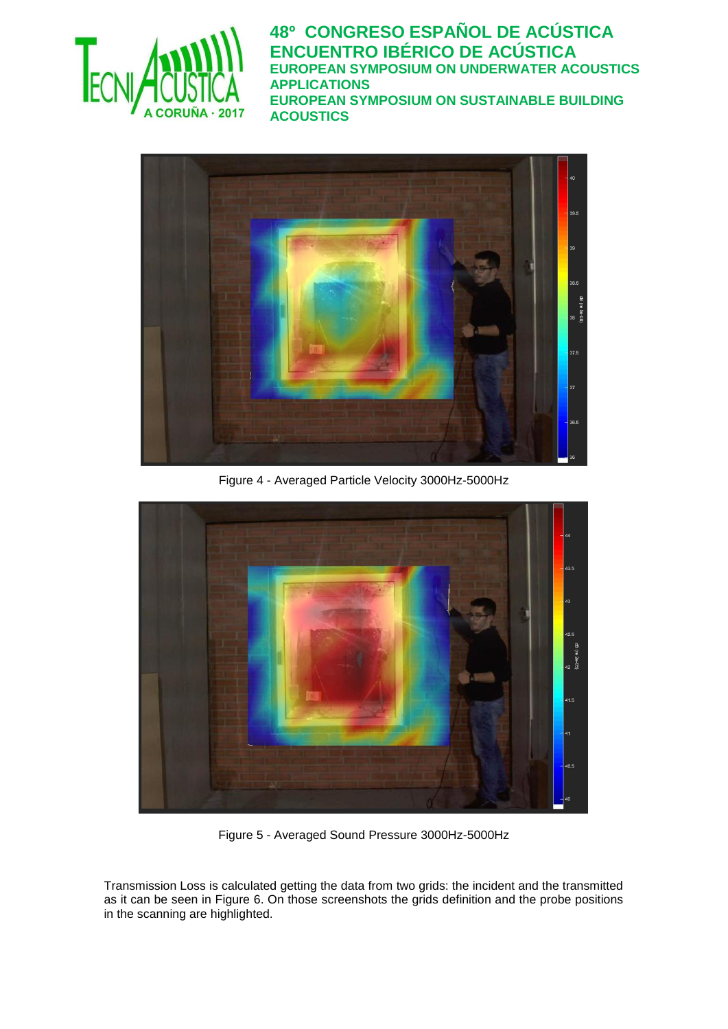



Figure 4 - Averaged Particle Velocity 3000Hz-5000Hz

<span id="page-3-0"></span>

Figure 5 - Averaged Sound Pressure 3000Hz-5000Hz

<span id="page-3-1"></span>Transmission Loss is calculated getting the data from two grids: the incident and the transmitted as it can be seen in [Figure 6.](#page-4-0) On those screenshots the grids definition and the probe positions in the scanning are highlighted.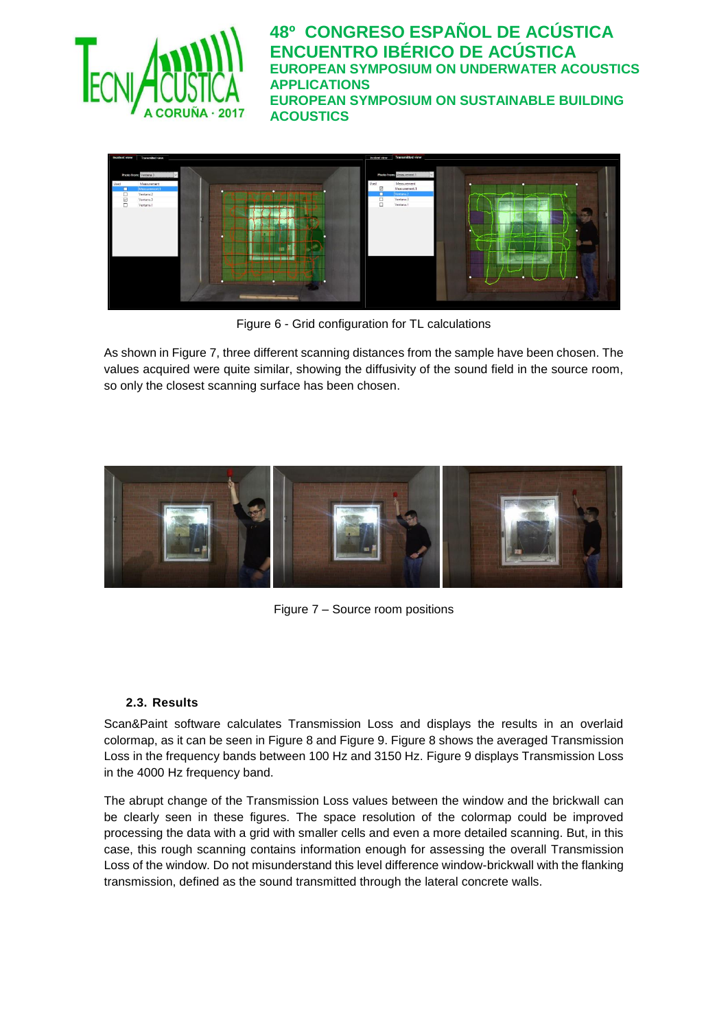



Figure 6 - Grid configuration for TL calculations

<span id="page-4-0"></span>As shown i[n Figure 7,](#page-4-1) three different scanning distances from the sample have been chosen. The values acquired were quite similar, showing the diffusivity of the sound field in the source room, so only the closest scanning surface has been chosen.



Figure 7 – Source room positions

### <span id="page-4-1"></span>**2.3. Results**

Scan&Paint software calculates Transmission Loss and displays the results in an overlaid colormap, as it can be seen in [Figure 8](#page-5-0) and [Figure 9.](#page-6-0) [Figure 8](#page-5-0) shows the averaged Transmission Loss in the frequency bands between 100 Hz and 3150 Hz. [Figure 9](#page-6-0) displays Transmission Loss in the 4000 Hz frequency band.

The abrupt change of the Transmission Loss values between the window and the brickwall can be clearly seen in these figures. The space resolution of the colormap could be improved processing the data with a grid with smaller cells and even a more detailed scanning. But, in this case, this rough scanning contains information enough for assessing the overall Transmission Loss of the window. Do not misunderstand this level difference window-brickwall with the flanking transmission, defined as the sound transmitted through the lateral concrete walls.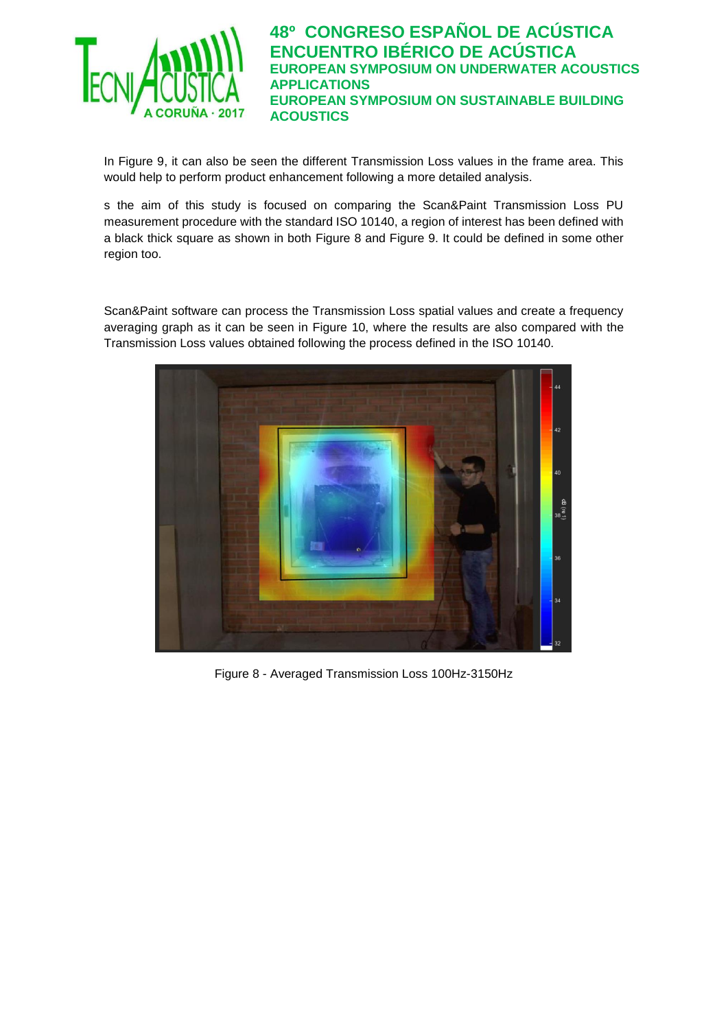

In [Figure 9,](#page-6-0) it can also be seen the different Transmission Loss values in the frame area. This would help to perform product enhancement following a more detailed analysis.

s the aim of this study is focused on comparing the Scan&Paint Transmission Loss PU measurement procedure with the standard ISO 10140, a region of interest has been defined with a black thick square as shown in both [Figure 8](#page-5-0) and [Figure 9.](#page-6-0) It could be defined in some other region too.

Scan&Paint software can process the Transmission Loss spatial values and create a frequency averaging graph as it can be seen in [Figure 10,](#page-6-1) where the results are also compared with the Transmission Loss values obtained following the process defined in the ISO 10140.

<span id="page-5-0"></span>

Figure 8 - Averaged Transmission Loss 100Hz-3150Hz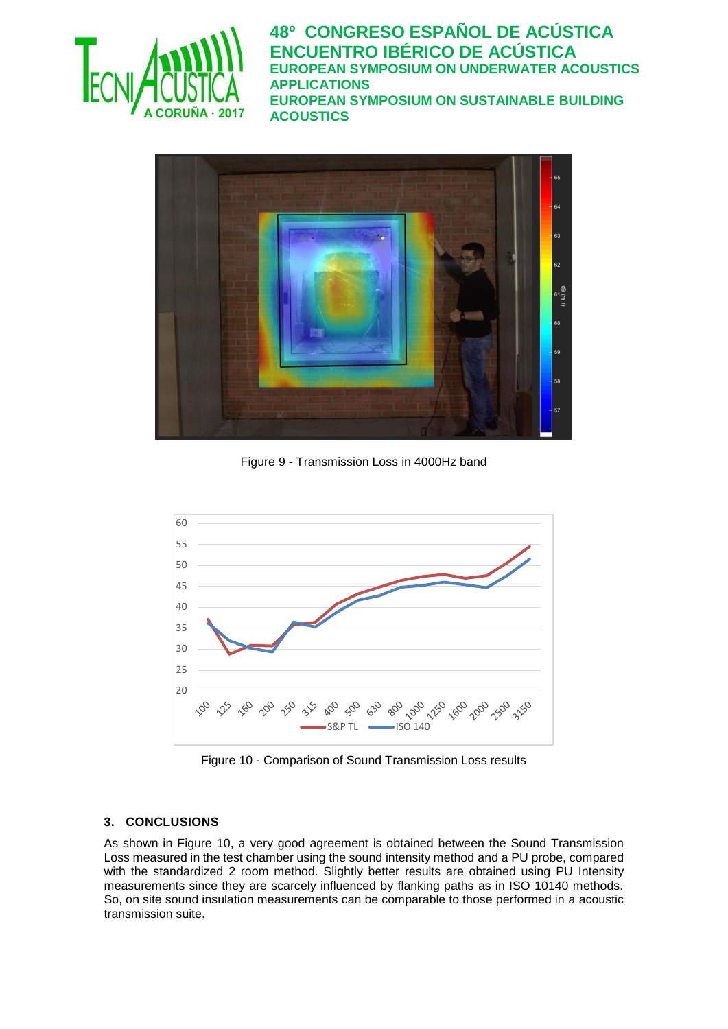



Figure 9 - Transmission Loss in 4000Hz band

<span id="page-6-0"></span>

Figure 10 - Comparison of Sound Transmission Loss results

# <span id="page-6-1"></span>**3. CONCLUSIONS**

As shown in [Figure 10,](#page-6-1) a very good agreement is obtained between the Sound Transmission Loss measured in the test chamber using the sound intensity method and a PU probe, compared with the standardized 2 room method. Slightly better results are obtained using PU Intensity measurements since they are scarcely influenced by flanking paths as in ISO 10140 methods. So, on site sound insulation measurements can be comparable to those performed in a acoustic transmission suite.